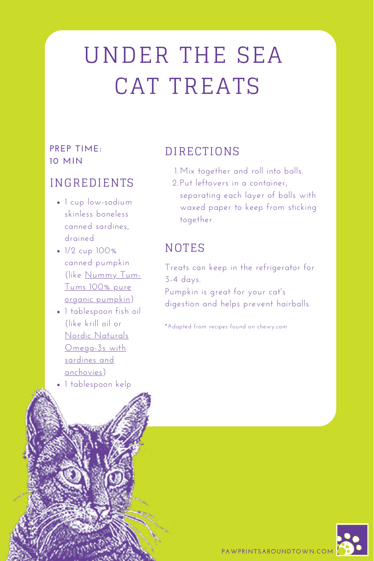# UNDER THE SEA CAT TREATS

#### **PREP TIME: 10 MIN**

#### INGREDIENTS

- $\bullet$  1 cup low-sodium skinless boneless canned sardines, drained
- $\cdot$  1/2 cup 100% canned pumpkin (like Nummy Tum-Tums 100% pure organic [pumpkin\)](https://www.chewy.com/nummy-tum-tum-pure-organic-pumpkin/dp/35533)
- 1 tablespoon fish oil (like krill oil or Nordic Naturals Omega-3s with sardines and [anchovies\)](https://www.chewy.com/nordic-naturals-omega-3-pet-cats/dp/35750)
- 1 tablespoon kelp

## DIRECTIONS

- Mix together and roll into balls. 1.
- 2.Put leftovers in a container, separating each layer of balls with waxed paper to keep from sticking together.

## **NOTES**

Treats can keep in the refrigerator for 3-4 days.

Pumpkin is great for your cat's digestion and helps prevent hairballs.

\*Adapted from recipes found on chewy.com

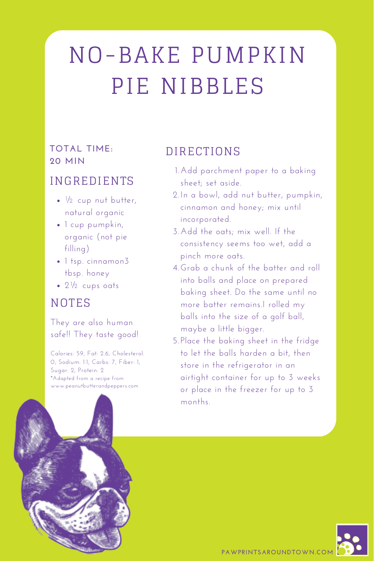# NO-BAKE PUMPKIN PIE NIBBLES

#### **TOTAL TIME: 20 MIN**

#### INGREDIENTS

- $\cdot$   $\frac{1}{2}$  cup nut butter, natural organic
- $\bullet$  1 cup pumpkin, organic (not pie filling)
- 1 tsp. cinnamon3 tbsp. honey
- 21/2 cups oats

## **NOTES**

They are also human safe!! They taste good!

Calories: 59, Fat: 2.6, Cholesterol: 0, Sodium: 1.1, Carbs: 7, Fiber: 1, Sugar: 2, Protein: 2 \*Adapted from a recipe from www.peanutbutterandpeppers.com



## DIRECTIONS

- Add parchment paper to a baking 1. sheet; set aside.
- In a bowl, add nut butter, pumpkin, 2. cinnamon and honey; mix until incorporated.
- Add the oats; mix well. If the 3. consistency seems too wet, add a pinch more oats.
- Grab a chunk of the batter and roll 4. into balls and place on prepared baking sheet. Do the same until no more batter remains.I rolled my balls into the size of a golf ball, maybe a little bigger.
- 5.Place the baking sheet in the fridge to let the balls harden a bit, then store in the refrigerator in an airtight container for up to 3 weeks or place in the freezer for up to 3 months.